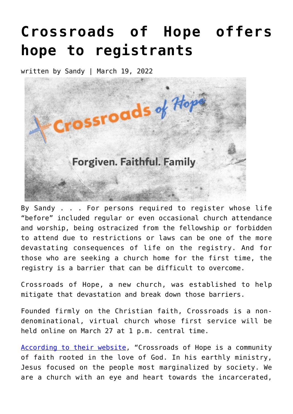## **[Crossroads of Hope offers](https://narsol.org/2022/03/crossroads-of-hope-offers-hope-to-registrants/) [hope to registrants](https://narsol.org/2022/03/crossroads-of-hope-offers-hope-to-registrants/)**

written by Sandy | March 19, 2022



By Sandy . . . For persons required to register whose life "before" included regular or even occasional church attendance and worship, being ostracized from the fellowship or forbidden to attend due to restrictions or laws can be one of the more devastating consequences of life on the registry. And for those who are seeking a church home for the first time, the registry is a barrier that can be difficult to overcome.

Crossroads of Hope, a new church, was established to help mitigate that devastation and break down those barriers.

Founded firmly on the Christian faith, Crossroads is a nondenominational, virtual church whose first service will be held online on March 27 at 1 p.m. central time.

[According to their website](https://www.crossroadsofhope.church/), "Crossroads of Hope is a community of faith rooted in the love of God. In his earthly ministry, Jesus focused on the people most marginalized by society. We are a church with an eye and heart towards the incarcerated,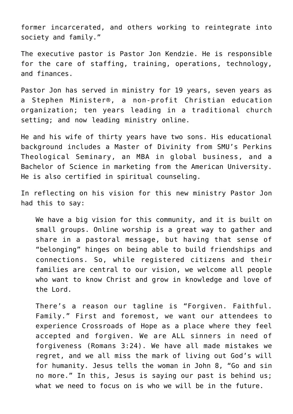former incarcerated, and others working to reintegrate into society and family."

The executive pastor is Pastor Jon Kendzie. He is responsible for the care of staffing, training, operations, technology, and finances.

Pastor Jon has served in ministry for 19 years, seven years as a Stephen Minister®, a non-profit Christian education organization; ten years leading in a traditional church setting; and now leading ministry online.

He and his wife of thirty years have two sons. His educational background includes a Master of Divinity from SMU's Perkins Theological Seminary, an MBA in global business, and a Bachelor of Science in marketing from the American University. He is also certified in spiritual counseling.

In reflecting on his vision for this new ministry Pastor Jon had this to say:

We have a big vision for this community, and it is built on small groups. Online worship is a great way to gather and share in a pastoral message, but having that sense of "belonging" hinges on being able to build friendships and connections. So, while registered citizens and their families are central to our vision, we welcome all people who want to know Christ and grow in knowledge and love of the Lord.

There's a reason our tagline is "Forgiven. Faithful. Family." First and foremost, we want our attendees to experience Crossroads of Hope as a place where they feel accepted and forgiven. We are ALL sinners in need of forgiveness (Romans 3:24). We have all made mistakes we regret, and we all miss the mark of living out God's will for humanity. Jesus tells the woman in John 8, "Go and sin no more." In this, Jesus is saying our past is behind us; what we need to focus on is who we will be in the future.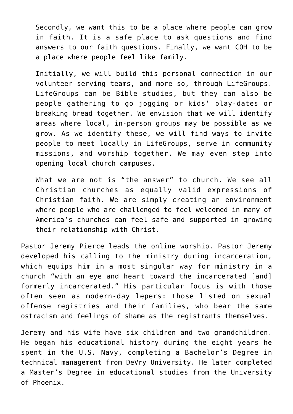Secondly, we want this to be a place where people can grow in faith. It is a safe place to ask questions and find answers to our faith questions. Finally, we want COH to be a place where people feel like family.

Initially, we will build this personal connection in our volunteer serving teams, and more so, through LifeGroups. LifeGroups can be Bible studies, but they can also be people gathering to go jogging or kids' play-dates or breaking bread together. We envision that we will identify areas where local, in-person groups may be possible as we grow. As we identify these, we will find ways to invite people to meet locally in LifeGroups, serve in community missions, and worship together. We may even step into opening local church campuses.

What we are not is "the answer" to church. We see all Christian churches as equally valid expressions of Christian faith. We are simply creating an environment where people who are challenged to feel welcomed in many of America's churches can feel safe and supported in growing their relationship with Christ.

Pastor Jeremy Pierce leads the online worship. Pastor Jeremy developed his calling to the ministry during incarceration, which equips him in a most singular way for ministry in a church "with an eye and heart toward the incarcerated [and] formerly incarcerated." His particular focus is with those often seen as modern-day lepers: those listed on sexual offense registries and their families, who bear the same ostracism and feelings of shame as the registrants themselves.

Jeremy and his wife have six children and two grandchildren. He began his educational history during the eight years he spent in the U.S. Navy, completing a Bachelor's Degree in technical management from DeVry University. He later completed a Master's Degree in educational studies from the University of Phoenix.